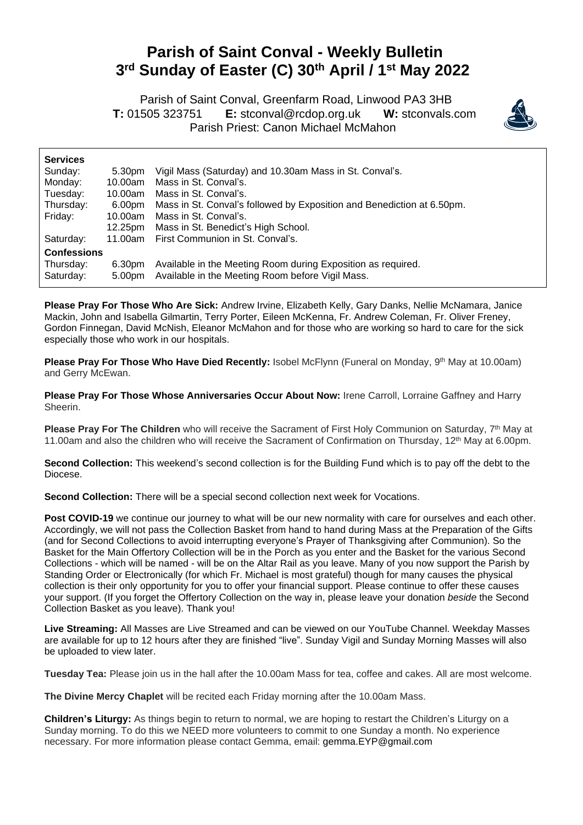## **Parish of Saint Conval - Weekly Bulletin 3 rd Sunday of Easter (C) 30th April / 1st May 2022**

 Parish of Saint Conval, Greenfarm Road, Linwood PA3 3HB **T:** 01505 323751 **E:** [stconval@rcdop.org.uk](mailto:stconval@rcdop.org.uk) **W:** stconvals.com Parish Priest: Canon Michael McMahon



| <b>Services</b>    |         |                                                                        |
|--------------------|---------|------------------------------------------------------------------------|
| Sunday:            | 5.30pm  | Vigil Mass (Saturday) and 10.30am Mass in St. Conval's.                |
| Monday:            | 10.00am | Mass in St. Conval's.                                                  |
| Tuesday:           | 10.00am | Mass in St. Conval's.                                                  |
| Thursday:          | 6.00pm  | Mass in St. Conval's followed by Exposition and Benediction at 6.50pm. |
| Friday:            | 10.00am | Mass in St. Conval's.                                                  |
|                    | 12.25pm | Mass in St. Benedict's High School.                                    |
| Saturday:          | 11.00am | First Communion in St. Conval's.                                       |
| <b>Confessions</b> |         |                                                                        |
| Thursday:          | 6.30pm  | Available in the Meeting Room during Exposition as required.           |
| Saturday:          | 5.00pm  | Available in the Meeting Room before Vigil Mass.                       |

**Please Pray For Those Who Are Sick:** Andrew Irvine, Elizabeth Kelly, Gary Danks, Nellie McNamara, Janice Mackin, John and Isabella Gilmartin, Terry Porter, Eileen McKenna, Fr. Andrew Coleman, Fr. Oliver Freney, Gordon Finnegan, David McNish, Eleanor McMahon and for those who are working so hard to care for the sick especially those who work in our hospitals.

**Please Pray For Those Who Have Died Recently:** Isobel McFlynn (Funeral on Monday, 9 th May at 10.00am) and Gerry McEwan.

**Please Pray For Those Whose Anniversaries Occur About Now:** Irene Carroll, Lorraine Gaffney and Harry Sheerin.

Please Pray For The Children who will receive the Sacrament of First Holy Communion on Saturday, 7<sup>th</sup> May at 11.00am and also the children who will receive the Sacrament of Confirmation on Thursday, 12<sup>th</sup> May at 6.00pm.

**Second Collection:** This weekend's second collection is for the Building Fund which is to pay off the debt to the Diocese.

Second Collection: There will be a special second collection next week for Vocations.

**Post COVID-19** we continue our journey to what will be our new normality with care for ourselves and each other. Accordingly, we will not pass the Collection Basket from hand to hand during Mass at the Preparation of the Gifts (and for Second Collections to avoid interrupting everyone's Prayer of Thanksgiving after Communion). So the Basket for the Main Offertory Collection will be in the Porch as you enter and the Basket for the various Second Collections - which will be named - will be on the Altar Rail as you leave. Many of you now support the Parish by Standing Order or Electronically (for which Fr. Michael is most grateful) though for many causes the physical collection is their only opportunity for you to offer your financial support. Please continue to offer these causes your support. (If you forget the Offertory Collection on the way in, please leave your donation *beside* the Second Collection Basket as you leave). Thank you!

**Live Streaming:** All Masses are Live Streamed and can be viewed on our YouTube Channel. Weekday Masses are available for up to 12 hours after they are finished "live". Sunday Vigil and Sunday Morning Masses will also be uploaded to view later.

**Tuesday Tea:** Please join us in the hall after the 10.00am Mass for tea, coffee and cakes. All are most welcome.

**The Divine Mercy Chaplet** will be recited each Friday morning after the 10.00am Mass.

**Children's Liturgy:** As things begin to return to normal, we are hoping to restart the Children's Liturgy on a Sunday morning. To do this we NEED more volunteers to commit to one Sunday a month. No experience necessary. For more information please contact Gemma, email: [gemma.EYP@gmail.com](mailto:gemma.scott0808@gmail.com)